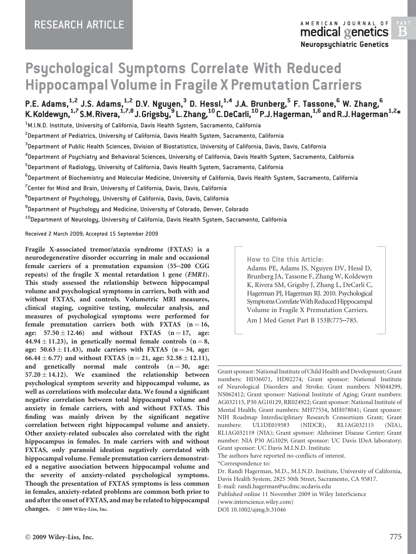# AMERICAN JOURNAL OF medical genetics Neuropsychiatric Genetics

B

# Psychological Symptoms Correlate With Reduced Hippocampal Volume in Fragile X Premutation Carriers

# P.E. Adams, $^{1,2}$  J.S. Adams, $^{1,2}$  D.V. Nguyen, $^3$  D. Hessl, $^{1,4}$  J.A. Brunberg, $^5$  F. Tassone, $^6$  W. Zhang, $^6$ K. Koldewyn, <sup>1,7</sup> S.M. Rivera, <sup>1,7,8</sup> J. Grigsby, <sup>9</sup> L. Zhang, <sup>10</sup> C. DeCarli, <sup>10</sup> P.J. Hagerman, <sup>1,6</sup> and R.J. Hagerman<sup>1,2</sup>\*

 $^{\text{1}}$ M.I.N.D. Institute, University of California, Davis Health System, Sacramento, California

 $^{\text{2}}$ Department of Pediatrics, University of California, Davis Health System, Sacramento, California

 $^{\rm 3}$ Department of Public Health Sciences, Division of Biostatistics, University of California, Davis, Davis, California

<sup>4</sup>Department of Psychiatry and Behavioral Sciences, University of California, Davis Health System, Sacramento, California

 $^{\rm 5}$ Department of Radiology, University of California, Davis Health System, Sacramento, California

<sup>6</sup>Department of Biochemistry and Molecular Medicine, University of California, Davis Health System, Sacramento, California

 $\mathrm{^{7}}$ Center for Mind and Brain, University of California, Davis, Davis, California

 $^{\rm 8}$ Department of Psychology, University of California, Davis, Davis, California

 $^9$ Department of Psychology and Medicine, University of Colorado, Denver, Colorado

<sup>10</sup>Department of Neurology, University of California, Davis Health System, Sacramento, California

Received 2 March 2009; Accepted 15 September 2009

Fragile X-associated tremor/ataxia syndrome (FXTAS) is a neurodegenerative disorder occurring in male and occasional female carriers of a premutation expansion (55–200 CGG repeats) of the fragile X mental retardation 1 gene (FMR1). This study assessed the relationship between hippocampal volume and psychological symptoms in carriers, both with and without FXTAS, and controls. Volumetric MRI measures, clinical staging, cognitive testing, molecular analysis, and measures of psychological symptoms were performed for female premutation carriers both with FXTAS  $(n = 16,$ age:  $57.50 \pm 12.46$ ) and without FXTAS (n = 17, age:  $44.94 \pm 11.23$ ), in genetically normal female controls (n = 8, age:  $50.63 \pm 11.43$ ), male carriers with FXTAS (n = 34, age: 66.44  $\pm$  6.77) and without FXTAS (n = 21, age: 52.38  $\pm$  12.11), and genetically normal male controls  $(n = 30, \text{ age})$  $57.20 \pm 14.12$ ). We examined the relationship between psychological symptom severity and hippocampal volume, as well as correlations with molecular data. We found a significant negative correlation between total hippocampal volume and anxiety in female carriers, with and without FXTAS. This finding was mainly driven by the significant negative correlation between right hippocampal volume and anxiety. Other anxiety-related subscales also correlated with the right hippocampus in females. In male carriers with and without FXTAS, only paranoid ideation negatively correlated with hippocampal volume. Female premutation carriers demonstrated a negative association between hippocampal volume and the severity of anxiety-related psychological symptoms. Though the presentation of FXTAS symptoms is less common in females, anxiety-related problems are common both prior to and after the onset of FXTAS, and may be related to hippocampal changes.  $\circ$  2009 Wiley-Liss, Inc.

How to Cite this Article:

Adams PE, Adams JS, Nguyen DV, Hessl D, Brunberg JA, Tassone F, Zhang W, Koldewyn K, Rivera SM, Grigsby J, Zhang L, DeCarli C, Hagerman PJ, Hagerman RJ. 2010. Psychological Symptoms Correlate With Reduced Hippocampal Volume in Fragile X Premutation Carriers.

Am J Med Genet Part B 153B:775–785.

Grant sponsor: National Institute of Child Health and Development; Grant numbers: HD36071, HD02274; Grant sponsor: National Institute of Neurological Disorders and Stroke; Grant numbers: NS044299, NS062412; Grant sponsor: National Institute of Aging; Grant numbers: AG032115, P30 AG10129, RR024922; Grant sponsor: National Institute of Mental Health; Grant numbers: MH77554, MH078041; Grant sponsor: NIH Roadmap Interdisciplinary Research Consortium Grant; Grant numbers: UL1DE019583 (NIDCR), RL1AG032115 (NIA), RL1AG032119 (NIA); Grant sponsor: Alzheimer Disease Center; Grant number: NIA P30 AG1029; Grant sponsor: UC Davis IDeA laboratory; Grant sponsor: UC Davis M.I.N.D. Institute.

The authors have reported no conflicts of interest.

\*Correspondence to:

Dr. Randi Hagerman, M.D., M.I.N.D. Institute, University of California, Davis Health System, 2825 50th Street, Sacramento, CA 95817. E-mail: randi.hagerman@ucdmc.ucdavis.edu Published online 11 November 2009 in Wiley InterScience (www.interscience.wiley.com) DOI 10.1002/ajmg.b.31046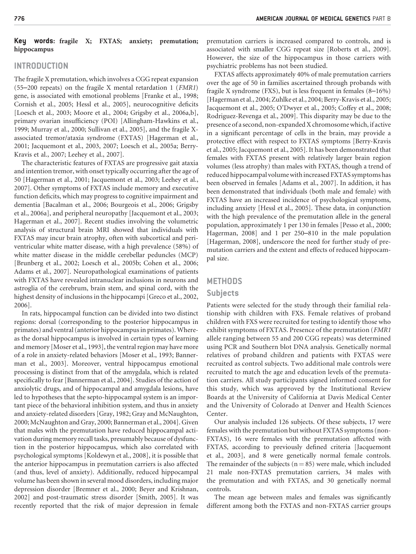## Key words: fragile X; FXTAS; anxiety; premutation; hippocampus

## INTRODUCTION

The fragile X premutation, which involves a CGG repeat expansion (55–200 repeats) on the fragile X mental retardation 1 (FMR1) gene, is associated with emotional problems [Franke et al., 1998; Cornish et al., 2005; Hessl et al., 2005], neurocognitive deficits [Loesch et al., 2003; Moore et al., 2004; Grigsby et al., 2006a,b], primary ovarian insufficiency (POI) [Allingham-Hawkins et al., 1999; Murray et al., 2000; Sullivan et al., 2005], and the fragile Xassociated tremor/ataxia syndrome (FXTAS) [Hagerman et al., 2001; Jacquemont et al., 2003, 2007; Loesch et al., 2005a; Berry-Kravis et al., 2007; Leehey et al., 2007].

The characteristic features of FXTAS are progressive gait ataxia and intention tremor, with onset typically occurring after the age of 50 [Hagerman et al., 2001; Jacquemont et al., 2003; Leehey et al., 2007]. Other symptoms of FXTAS include memory and executive function deficits, which may progress to cognitive impairment and dementia [Bacalman et al., 2006; Bourgeois et al., 2006; Grigsby et al., 2006a], and peripheral neuropathy [Jacquemont et al., 2003; Hagerman et al., 2007]. Recent studies involving the volumetric analysis of structural brain MRI showed that individuals with FXTAS may incur brain atrophy, often with subcortical and periventricular white matter disease, with a high prevalence (58%) of white matter disease in the middle cerebellar peduncles (MCP) [Brunberg et al., 2002; Loesch et al., 2005b; Cohen et al., 2006; Adams et al., 2007]. Neuropathological examinations of patients with FXTAS have revealed intranuclear inclusions in neurons and astroglia of the cerebrum, brain stem, and spinal cord, with the highest density of inclusions in the hippocampi [Greco et al., 2002, 2006].

In rats, hippocampal function can be divided into two distinct regions: dorsal (corresponding to the posterior hippocampus in primates) and ventral (anterior hippocampus in primates). Whereas the dorsal hippocampus is involved in certain types of learning and memory [Moser et al., 1993], the ventral region may have more of a role in anxiety-related behaviors [Moser et al., 1993; Bannerman et al., 2003]. Moreover, ventral hippocampus emotional processing is distinct from that of the amygdala, which is related specifically to fear [Bannerman et al., 2004]. Studies of the action of anxiolytic drugs, and of hippocampal and amygdala lesions, have led to hypotheses that the septo-hippocampal system is an important piece of the behavioral inhibition system, and thus in anxiety and anxiety-related disorders [Gray, 1982; Gray and McNaughton, 2000; McNaughton and Gray, 2000; Bannerman et al., 2004]. Given that males with the premutation have reduced hippocampal activation during memory recall tasks, presumably because of dysfunction in the posterior hippocampus, which also correlated with psychological symptoms [Koldewyn et al., 2008], it is possible that the anterior hippocampus in premutation carriers is also affected (and thus, level of anxiety). Additionally, reduced hippocampal volume has been shown in several mood disorders, including major depression disorder [Bremner et al., 2000; Beyer and Krishnan, 2002] and post-traumatic stress disorder [Smith, 2005]. It was recently reported that the risk of major depression in female

premutation carriers is increased compared to controls, and is associated with smaller CGG repeat size [Roberts et al., 2009]. However, the size of the hippocampus in those carriers with psychiatric problems has not been studied.

FXTAS affects approximately 40% of male premutation carriers over the age of 50 in families ascertained through probands with fragile X syndrome (FXS), but is less frequent in females (8–16%) [Hagerman et al., 2004; Zuhlke et al., 2004; Berry-Kravis et al., 2005; Jacquemont et al., 2005; O'Dwyer et al., 2005; Coffey et al., 2008; Rodriguez-Revenga et al., 2009]. This disparity may be due to the presence of a second, non-expanded X chromosome which, if active in a significant percentage of cells in the brain, may provide a protective effect with respect to FXTAS symptoms [Berry-Kravis et al., 2005; Jacquemont et al., 2005]. It has been demonstrated that females with FXTAS present with relatively larger brain region volumes (less atrophy) than males with FXTAS, though a trend of reduced hippocampal volume with increased FXTAS symptoms has been observed in females [Adams et al., 2007]. In addition, it has been demonstrated that individuals (both male and female) with FXTAS have an increased incidence of psychological symptoms, including anxiety [Hessl et al., 2005]. These data, in conjunction with the high prevalence of the premutation allele in the general population, approximately 1 per 130 in females [Pesso et al., 2000; Hagerman, 2008] and 1 per 250–810 in the male population [Hagerman, 2008], underscore the need for further study of premutation carriers and the extent and effects of reduced hippocampal size.

## **METHODS**

#### **Subjects**

Patients were selected for the study through their familial relationship with children with FXS. Female relatives of proband children with FXS were recruited for testing to identify those who exhibit symptoms of FXTAS. Presence of the premutation (FMR1 allele ranging between 55 and 200 CGG repeats) was determined using PCR and Southern blot DNA analysis. Genetically normal relatives of proband children and patients with FXTAS were recruited as control subjects. Two additional male controls were recruited to match the age and education levels of the premutation carriers. All study participants signed informed consent for this study, which was approved by the Institutional Review Boards at the University of California at Davis Medical Center and the University of Colorado at Denver and Health Sciences Center.

Our analysis included 126 subjects. Of these subjects, 17 were females with the premutation but without FXTAS symptoms (non-FXTAS), 16 were females with the premutation affected with FXTAS, according to previously defined criteria [Jacquemont et al., 2003], and 8 were genetically normal female controls. The remainder of the subjects ( $n = 85$ ) were male, which included 21 male non-FXTAS premutation carriers, 34 males with the premutation and with FXTAS, and 30 genetically normal controls.

The mean age between males and females was significantly different among both the FXTAS and non-FXTAS carrier groups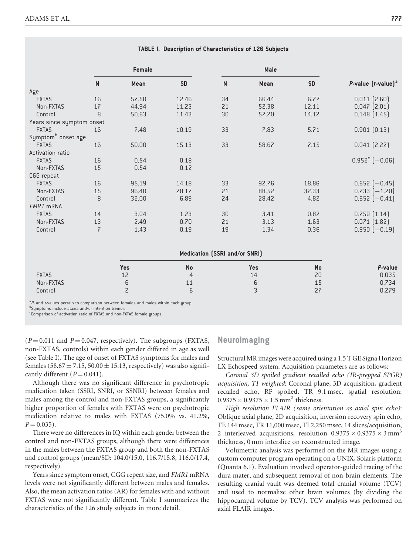|                                |                          | <b>Female</b>  |           | <b>Male</b>                   |            |           |                          |
|--------------------------------|--------------------------|----------------|-----------|-------------------------------|------------|-----------|--------------------------|
|                                | N                        | Mean           | <b>SD</b> | $\mathsf{N}$                  | Mean       | <b>SD</b> | P-value $(t$ -value] $a$ |
| Age                            |                          |                |           |                               |            |           |                          |
| <b>FXTAS</b>                   | 16                       | 57.50          | 12.46     | 34                            | 66.44      | 6.77      | $0.011$ $(2.60)$         |
| Non-FXTAS                      | 17                       | 44.94          | 11.23     | 21                            | 52.38      | 12.11     | $0.047$ $(2.01)$         |
| Control                        | 8                        | 50.63          | 11.43     | 30                            | 57.20      | 14.12     | $0.148$ $(1.45)$         |
| Years since symptom onset      |                          |                |           |                               |            |           |                          |
| <b>FXTAS</b>                   | 16                       | 7.48           | 10.19     | 33                            | 7.83       | 5.71      | $0.901$ $(0.13)$         |
| Symptom <sup>b</sup> onset age |                          |                |           |                               |            |           |                          |
| <b>FXTAS</b>                   | 16                       | 50.00          | 15.13     | 33                            | 58.67      | 7.15      | $0.041$ $(2.22)$         |
| Activation ratio               |                          |                |           |                               |            |           |                          |
| <b>FXTAS</b>                   | 16                       | 0.54           | 0.18      |                               |            |           | $0.952^c$ $(-0.06)$      |
| Non-FXTAS                      | 15                       | 0.54           | 0.12      |                               |            |           |                          |
| CGG repeat                     |                          |                |           |                               |            |           |                          |
| <b>FXTAS</b>                   | 16                       | 95.19          | 14.18     | 33                            | 92.76      | 18.86     | $0.652$ $[-0.45]$        |
| Non-FXTAS                      | 15                       | 96.40          | 20.17     | 21                            | 88.52      | 32.33     | $0.233$ $[-1.20]$        |
| Control                        | 8                        | 32.00          | 6.89      | 24                            | 28.42      | 4.82      | $0.652$ $[-0.41]$        |
| FMR1 mRNA                      |                          |                |           |                               |            |           |                          |
| <b>FXTAS</b>                   | 14                       | 3.04           | 1.23      | 30                            | 3.41       | 0.82      | 0.259(1.14)              |
| Non-FXTAS                      | 13                       | 2.49           | 0.70      | 21                            | 3.13       | 1.63      | $0.071$ $(1.82)$         |
| Control                        | $\overline{\phantom{a}}$ | 1.43           | 0.19      | 19                            | 1.34       | 0.36      | $0.850$ $(-0.19)$        |
|                                |                          |                |           | Medication (SSRI and/or SNRI) |            |           |                          |
|                                |                          |                |           |                               |            |           |                          |
|                                |                          | <b>Yes</b>     | <b>No</b> |                               | <b>Yes</b> | <b>No</b> | P-value                  |
| <b>FXTAS</b>                   |                          | 12             | 4         |                               | 14         | 20        | 0.035                    |
| Non-FXTAS                      |                          | 6              | 11        |                               | 6          | 15        | 0.734                    |
| Control                        |                          | $\overline{c}$ | 6         |                               | 3          | 27        | 0.279                    |

#### TABLE I. Description of Characteristics of 126 Subjects

<sup>a</sup>P- and t-values pertain to comparison between females and males within each group.<br><sup>b</sup>Sumptoms include ataxia and/or intention tramer

bSymptoms include ataxia and/or intention tremor.

<sup>c</sup>Comparison of activation ratio of FXTAS and non-FXTAS female groups.

 $(P = 0.011$  and  $P = 0.047$ , respectively). The subgroups (FXTAS, non-FXTAS, controls) within each gender differed in age as well (see Table I). The age of onset of FXTAS symptoms for males and females (58.67  $\pm$  7.15, 50.00  $\pm$  15.13, respectively) was also significantly different  $(P = 0.041)$ .

Although there was no significant difference in psychotropic medication taken (SSRI, SNRI, or SSNRI) between females and males among the control and non-FXTAS groups, a significantly higher proportion of females with FXTAS were on psychotropic medication relative to males with FXTAS (75.0% vs. 41.2%,  $P = 0.035$ ).

There were no differences in IQ within each gender between the control and non-FXTAS groups, although there were differences in the males between the FXTAS group and both the non-FXTAS and control groups (mean/SD: 104.0/15.0, 116.7/15.8, 116.0/17.4, respectively).

Years since symptom onset, CGG repeat size, and FMR1 mRNA levels were not significantly different between males and females. Also, the mean activation ratios (AR) for females with and without FXTAS were not significantly different. Table I summarizes the characteristics of the 126 study subjects in more detail.

## Neuroimaging

StructuralMR images were acquired using a 1.5 T GE Signa Horizon LX Echospeed system. Acquisition parameters are as follows:

Coronal 3D spoiled gradient recalled echo (IR-prepped SPGR) acquisition, T1 weighted: Coronal plane, 3D acquisition, gradient recalled echo, RF spoiled, TR 9.1 msec, spatial resolution:  $0.9375 \times 0.9375 \times 1.5$  mm<sup>3</sup> thickness.

High resolution FLAIR (same orientation as axial spin echo): Oblique axial plane, 2D acquisition, inversion recovery spin echo, TE 144 msec, TR 11,000 msec, TI 2,250 msec, 14 slices/acquisition, 2 interleaved acquisitions, resolution  $0.9375 \times 0.9375 \times 3 \text{ mm}^3$ thickness, 0 mm interslice on reconstructed image.

Volumetric analysis was performed on the MR images using a custom computer program operating on a UNIX, Solaris platform (Quanta 6.1). Evaluation involved operator-guided tracing of the dura mater, and subsequent removal of non-brain elements. The resulting cranial vault was deemed total cranial volume (TCV) and used to normalize other brain volumes (by dividing the hippocampal volume by TCV). TCV analysis was performed on axial FLAIR images.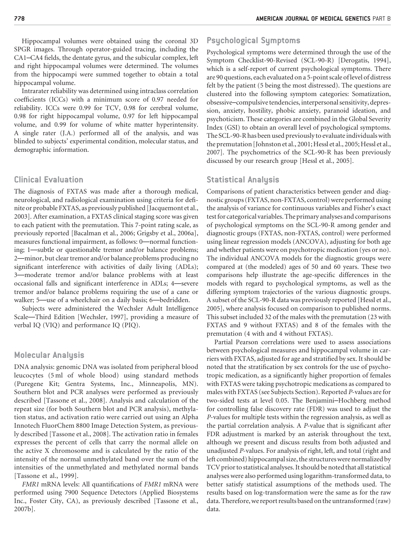Hippocampal volumes were obtained using the coronal 3D SPGR images. Through operator-guided tracing, including the CA1–CA4 fields, the dentate gyrus, and the subicular complex, left and right hippocampal volumes were determined. The volumes from the hippocampi were summed together to obtain a total hippocampal volume.

Intrarater reliability was determined using intraclass correlation coefficients (ICCs) with a minimum score of 0.97 needed for reliability. ICCs were 0.99 for TCV, 0.98 for cerebral volume, 0.98 for right hippocampal volume, 0.97 for left hippocampal volume, and 0.99 for volume of white matter hyperintensity. A single rater (J.A.) performed all of the analysis, and was blinded to subjects' experimental condition, molecular status, and demographic information.

## Clinical Evaluation

The diagnosis of FXTAS was made after a thorough medical, neurological, and radiological examination using criteria for definite or probable FXTAS, as previously published [Jacquemont et al., 2003]. After examination, a FXTAS clinical staging score was given to each patient with the premutation. This 7-point rating scale, as previously reported [Bacalman et al., 2006; Grigsby et al., 2006a], measures functional impairment, as follows: 0—normal functioning; 1—subtle or questionable tremor and/or balance problems; 2—minor, but clear tremor and/or balance problems producing no significant interference with activities of daily living (ADLs); 3—moderate tremor and/or balance problems with at least occasional falls and significant interference in ADLs; 4—severe tremor and/or balance problems requiring the use of a cane or walker; 5—use of a wheelchair on a daily basis; 6—bedridden.

Subjects were administered the Wechsler Adult Intelligence Scale—Third Edition [Wechsler, 1997], providing a measure of verbal IQ (VIQ) and performance IQ (PIQ).

#### Molecular Analysis

DNA analysis: genomic DNA was isolated from peripheral blood leucocytes (5 ml of whole blood) using standard methods (Puregene Kit; Gentra Systems, Inc., Minneapolis, MN). Southern blot and PCR analyses were performed as previously described [Tassone et al., 2008]. Analysis and calculation of the repeat size (for both Southern blot and PCR analysis), methylation status, and activation ratio were carried out using an Alpha Innotech FluorChem 8800 Image Detection System, as previously described [Tassone et al., 2008]. The activation ratio in females expresses the percent of cells that carry the normal allele on the active X chromosome and is calculated by the ratio of the intensity of the normal unmethylated band over the sum of the intensities of the unmethylated and methylated normal bands [Tassone et al., 1999].

FMR1 mRNA levels: All quantifications of FMR1 mRNA were performed using 7900 Sequence Detectors (Applied Biosystems Inc., Foster City, CA), as previously described [Tassone et al., 2007b].

## Psychological Symptoms

Psychological symptoms were determined through the use of the Symptom Checklist-90-Revised (SCL-90-R) [Derogatis, 1994], which is a self-report of current psychological symptoms. There are 90 questions, each evaluated on a 5-point scale of level of distress felt by the patient (5 being the most distressed). The questions are clustered into the following symptom categories: Somatization, obsessive–compulsive tendencies, interpersonal sensitivity, depression, anxiety, hostility, phobic anxiety, paranoid ideation, and psychoticism. These categories are combined in the Global Severity Index (GSI) to obtain an overall level of psychological symptoms. The SCL-90-R has been used previously to evaluate individuals with the premutation [Johnston et al., 2001; Hessl et al., 2005; Hessl et al., 2007]. The psychometrics of the SCL-90-R has been previously discussed by our research group [Hessl et al., 2005].

#### Statistical Analysis

Comparisons of patient characteristics between gender and diagnostic groups (FXTAS, non-FXTAS, control) were performed using the analysis of variance for continuous variables and Fisher's exact test for categorical variables. The primary analyses and comparisons of psychological symptoms on the SCL-90-R among gender and diagnostic groups (FXTAS, non-FXTAS, control) were performed using linear regression models (ANCOVA), adjusting for both age and whether patients were on psychotropic medication (yes or no). The individual ANCOVA models for the diagnostic groups were compared at (the modeled) ages of 50 and 60 years. These two comparisons help illustrate the age-specific differences in the models with regard to psychological symptoms, as well as the differing symptom trajectories of the various diagnostic groups. A subset of the SCL-90-R data was previously reported [Hessl et al., 2005], where analysis focused on comparison to published norms. This subset included 32 of the males with the premutation (23 with FXTAS and 9 without FXTAS) and 8 of the females with the premutation (4 with and 4 without FXTAS).

Partial Pearson correlations were used to assess associations between psychological measures and hippocampal volume in carriers with FXTAS, adjusted for age and stratified by sex. It should be noted that the stratification by sex controls for the use of psychotropic medication, as a significantly higher proportion of females with FXTAS were taking psychotropic medications as compared to males with FXTAS (see Subjects Section). Reported P-values are for two-sided tests at level 0.05. The Benjamini–Hochberg method for controlling false discovery rate (FDR) was used to adjust the P-values for multiple tests within the regression analysis, as well as the partial correlation analysis. A P-value that is significant after FDR adjustment is marked by an asterisk throughout the text, although we present and discuss results from both adjusted and unadjusted P-values. For analysis of right, left, and total (right and left combined) hippocampal size, the structures were normalized by TCV prior to statistical analyses. It should be noted that all statistical analyses were also performed using logarithm-transformed data, to better satisfy statistical assumptions of the methods used. The results based on log-transformation were the same as for the raw data. Therefore, we report results based on the untransformed (raw) data.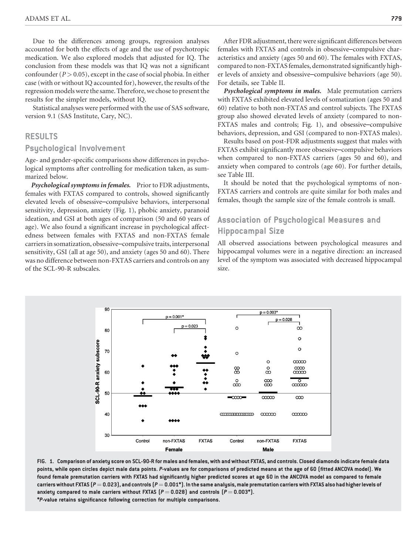Due to the differences among groups, regression analyses accounted for both the effects of age and the use of psychotropic medication. We also explored models that adjusted for IQ. The conclusion from these models was that IQ was not a significant confounder ( $P > 0.05$ ), except in the case of social phobia. In either case (with or without IQ accounted for), however, the results of the regression models were the same. Therefore, we chose to present the results for the simpler models, without IQ.

Statistical analyses were performed with the use of SAS software, version 9.1 (SAS Institute, Cary, NC).

#### RESULTS

#### Psychological Involvement

Age- and gender-specific comparisons show differences in psychological symptoms after controlling for medication taken, as summarized below.

Psychological symptoms in females. Prior to FDR adjustments, females with FXTAS compared to controls, showed significantly elevated levels of obsessive–compulsive behaviors, interpersonal sensitivity, depression, anxiety (Fig. 1), phobic anxiety, paranoid ideation, and GSI at both ages of comparison (50 and 60 years of age). We also found a significant increase in psychological affectedness between females with FXTAS and non-FXTAS female carriers in somatization, obsessive–compulsive traits, interpersonal sensitivity, GSI (all at age 50), and anxiety (ages 50 and 60). There was no difference between non-FXTAS carriers and controls on any of the SCL-90-R subscales.

After FDR adjustment, there were significant differences between females with FXTAS and controls in obsessive–compulsive characteristics and anxiety (ages 50 and 60). The females with FXTAS, compared to non-FXTAS females, demonstrated significantly higher levels of anxiety and obsessive–compulsive behaviors (age 50). For details, see Table II.

Psychological symptoms in males. Male premutation carriers with FXTAS exhibited elevated levels of somatization (ages 50 and 60) relative to both non-FXTAS and control subjects. The FXTAS group also showed elevated levels of anxiety (compared to non-FXTAS males and controls; Fig. 1), and obsessive–compulsive behaviors, depression, and GSI (compared to non-FXTAS males).

Results based on post-FDR adjustments suggest that males with FXTAS exhibit significantly more obsessive–compulsive behaviors when compared to non-FXTAS carriers (ages 50 and 60), and anxiety when compared to controls (age 60). For further details, see Table III.

It should be noted that the psychological symptoms of non-FXTAS carriers and controls are quite similar for both males and females, though the sample size of the female controls is small.

# Association of Psychological Measures and Hippocampal Size

All observed associations between psychological measures and hippocampal volumes were in a negative direction: an increased level of the symptom was associated with decreased hippocampal size.



FIG. 1. Comparison of anxiety score on SCL-90-R for males and females, with and without FXTAS, and controls. Closed diamonds indicate female data points, while open circles depict male data points. P-values are for comparisons of predicted means at the age of 60 (fitted ANCOVA model). We found female premutation carriers with FXTAS had significantly higher predicted scores at age 60 in the ANCOVA model as compared to female carriers without FXTAS ( $P=0.023$  ), and controls ( $P=0.001^\ast$  ). In the same analysis, male premutation carriers with FXTAS also had higher levels of anxiety compared to male carriers without FXTAS  $(P = 0.028)$  and controls  $(P = 0.003*)$ . \*P-value retains significance following correction for multiple comparisons.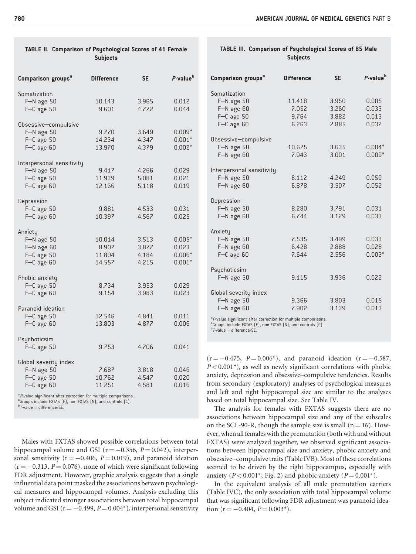|                                                               | <b>Subjects</b>   |           |                      |  |
|---------------------------------------------------------------|-------------------|-----------|----------------------|--|
| Comparison groups <sup>a</sup>                                | <b>Difference</b> | <b>SE</b> | P-value <sup>b</sup> |  |
| Somatization                                                  |                   |           |                      |  |
| $F-N$ age 50                                                  | 10.143            | 3.965     | 0.012                |  |
| $F-C$ age 50                                                  | 9.601             | 4.722     | 0.044                |  |
| Obsessive-compulsive                                          |                   |           |                      |  |
| $F-N$ age 50                                                  | 9.770             | 3.649     | $0.009*$             |  |
| $F-C$ age $50$                                                | 14.234            | 4.347     | $0.001*$             |  |
| $F-C$ age $60$                                                | 13.970            | 4.379     | $0.002*$             |  |
| Interpersonal sensitivity                                     |                   |           |                      |  |
| $F-N$ age 50                                                  | 9.417             | 4.266     | 0.029                |  |
| $F-C$ age $50$                                                | 11.939            | 5.081     | 0.021                |  |
| $F-C$ age $60$                                                | 12.166            | 5.118     | 0.019                |  |
| Depression                                                    |                   |           |                      |  |
| $F-C$ age $50$                                                | 9.881             | 4.533     | 0.031                |  |
| $F-C$ age $60$                                                | 10.397            | 4.567     | 0.025                |  |
| Anxiety                                                       |                   |           |                      |  |
| $F-N$ age $50$                                                | 10.014            | 3.513     | $0.005*$             |  |
| $F-N$ age $60$                                                | 8.907             | 3.877     | 0.023                |  |
| $F-C$ age $50$                                                | 11.804            | 4.184     | $0.006*$             |  |
| $F-C$ age $60$                                                | 14.557            | 4.215     | $0.001*$             |  |
| Phobic anxiety                                                |                   |           |                      |  |
| $F-C$ age 50                                                  | 8.734             | 3.953     | 0.029                |  |
| $F-C$ age $60$                                                | 9.154             | 3.983     | 0.023                |  |
| Paranoid ideation                                             |                   |           |                      |  |
| $F-C$ age $50$                                                | 12.546            | 4.841     | 0.011                |  |
| $F-C$ age $60$                                                | 13.803            | 4.877     | 0.006                |  |
| Psychoticsim                                                  |                   |           |                      |  |
| F-C age 50                                                    | 9.753             | 4.706     | 0.041                |  |
| Global severity index                                         |                   |           |                      |  |
| $F-N$ age $50$                                                | 7.687             | 3.818     | 0.046                |  |
| $F-C$ age $50$                                                | 10.762            | 4.547     | 0.020                |  |
| $F-C$ age $60$                                                | 11.251            | 4.581     | 0.016                |  |
| *Pyalue significant after correction for multiple comparisons |                   |           |                      |  |

TABLE II. Comparison of Psychological Scores of 41 Female

#### TABLE III. Comparison of Psychological Scores of 85 Male Subjects

Comparison groups<sup>a</sup> Difference SE P-value<sup>b</sup>

| $F-N$ age 50<br>$F-N$ age $60$<br>$F-C$ age $50$<br>$F-C$ age $60$ | 11.418<br>7.052<br>9.764<br>6.263 | 3.950<br>3.260<br>3.882<br>2.885 | 0.005<br>0.033<br>0.013<br>0.032 |
|--------------------------------------------------------------------|-----------------------------------|----------------------------------|----------------------------------|
| Obsessive-compulsive                                               |                                   |                                  |                                  |
| $F-N$ age 50<br>$F-N$ age $60$                                     | 10.675<br>7.943                   | 3.635<br>3.001                   | $0.004*$<br>$0.009*$             |
| Interpersonal sensitivity                                          |                                   |                                  |                                  |
| $F-N$ age $50$<br>$F-N$ age $60$                                   | 8.112<br>6.878                    | 4.249<br>3.507                   | 0.059<br>0.052                   |
| Depression                                                         |                                   |                                  |                                  |
| $F-N$ age $50$<br>$F-N$ age $60$                                   | 8.280<br>6.744                    | 3.791<br>3.129                   | 0.031<br>0.033                   |
| Anxiety                                                            |                                   |                                  |                                  |
| $F-N$ age 50                                                       | 7.535                             | 3.499                            | 0.033                            |
| $F-N$ age $60$<br>$F-C$ age $60$                                   | 6.428<br>7.644                    | 2.888<br>2.556                   | 0.028<br>$0.003*$                |
| Psychoticsim                                                       |                                   |                                  |                                  |
| $F-N$ age 50                                                       | 9.115                             | 3.936                            | 0.022                            |
| Global severity index                                              |                                   |                                  |                                  |
| $F-N$ age 50                                                       | 9.366                             | 3.803                            | 0.015                            |
| $F-N$ age $60$                                                     | 7.902                             | 3.139                            | 0.013                            |

 $*P$ -value significant after correction for multiple comparisons. <sup>a</sup>Groups include FXTAS (F), non-FXTAS (N), and controls (C).

 $b$  T-value = difference/SE.

Somatization

 $(r = -0.475, P = 0.006*)$ , and paranoid ideation  $(r = -0.587, P = 0.006*)$  $P < 0.001^*$ , as well as newly significant correlations with phobic anxiety, depression and obsessive–compulsive tendencies. Results from secondary (exploratory) analyses of psychological measures and left and right hippocampal size are similar to the analyses based on total hippocampal size. See Table IV.

The analysis for females with FXTAS suggests there are no associations between hippocampal size and any of the subscales on the SCL-90-R, though the sample size is small  $(n = 16)$ . However, when all females with the premutation (both with and without FXTAS) were analyzed together, we observed significant associations between hippocampal size and anxiety, phobic anxiety and obsessive–compulsive traits (Table IVB). Most of these correlations seemed to be driven by the right hippocampus, especially with anxiety ( $P < 0.001^*$ ; Fig. 2) and phobic anxiety ( $P = 0.001^*$ ).

In the equivalent analysis of all male premutation carriers (Table IVC), the only association with total hippocampal volume that was significant following FDR adjustment was paranoid ideation (r =  $-0.404$ ,  $P = 0.003$ <sup>\*</sup>).

\**P*-value significant after correction for multiple comparisons.<br><sup>a</sup>Groups include FXTAS (F), non-FXTAS (N), and controls (C).

 $b$ T-value = difference/SE.

Males with FXTAS showed possible correlations between total hippocampal volume and GSI ( $r = -0.356$ ,  $P = 0.042$ ), interpersonal sensitivity ( $r = -0.406$ ,  $P = 0.019$ ), and paranoid ideation  $(r = -0.313, P = 0.076)$ , none of which were significant following FDR adjustment. However, graphic analysis suggests that a single influential data point masked the associations between psychological measures and hippocampal volumes. Analysis excluding this subject indicated stronger associations between total hippocampal volume and GSI ( $r = -0.499$ ,  $P = 0.004$ <sup>\*</sup>), interpersonal sensitivity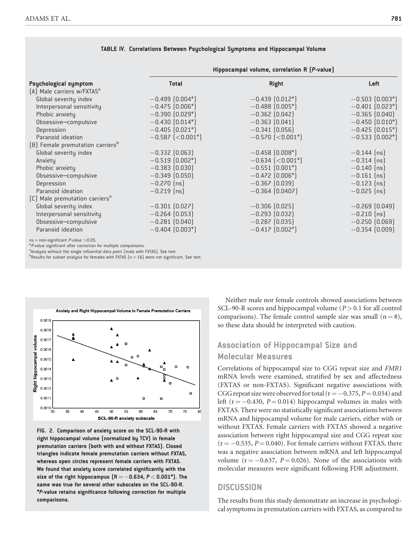|                                                       | Hippocampal volume, correlation R (P-value) |                                     |                     |  |  |
|-------------------------------------------------------|---------------------------------------------|-------------------------------------|---------------------|--|--|
| Psychological symptom                                 | <b>Total</b>                                | <b>Right</b>                        | Left                |  |  |
| [A] Male carriers w/FXTAS <sup>a</sup>                |                                             |                                     |                     |  |  |
| Global severity index                                 | $-0.499$ $(0.004*)$                         | $-0.439$ $(0.012*)$                 | $-0.503$ $(0.003*)$ |  |  |
| Interpersonal sensitivity                             | $-0.475$ $(0.006*)$                         | $-0.488$ $(0.005*)$                 | $-0.401$ $(0.023*)$ |  |  |
| Phobic anxiety                                        | $-0.390$ $(0.029*)$                         | $-0.362$ $(0.042)$                  | $-0.365$ $(0.040)$  |  |  |
| Obsessive-compulsive                                  | $-0.430$ $(0.014*)$                         | $-0.363$ $(0.041)$                  | $-0.450$ $(0.010*)$ |  |  |
| Depression                                            | $-0.405$ $(0.021*)$                         | $-0.341$ $(0.056)$                  | $-0.425$ $(0.015*)$ |  |  |
| Paranoid ideation                                     | $-0.587$ ( $< 0.001$ <sup>*</sup> )         | $-0.570$ ( $<$ 0.001*)              | $-0.533$ $(0.002*)$ |  |  |
| [B] Female premutation carriers <sup>b</sup>          |                                             |                                     |                     |  |  |
| Global severity index                                 | $-0.332$ [0.063]                            | $-0.458$ $(0.008*)$                 | $-0.144$ (ns)       |  |  |
| Anxiety                                               | $-0.519$ $(0.002*)$                         | $-0.634$ ( $< 0.001$ <sup>*</sup> ) | $-0.314$ (ns)       |  |  |
| Phobic anxiety                                        | $-0.383$ $(0.030)$                          | $-0.551$ $(0.001*)$                 | $-0.140$ (ns)       |  |  |
| Obsessive-compulsive                                  | $-0.349$ $(0.050)$                          | $-0.472$ [0.006*]                   | $-0.161$ (ns)       |  |  |
| Depression                                            | $-0.270$ (ns)                               | $-0.367$ $(0.039)$                  | $-0.123$ (ns)       |  |  |
| Paranoid ideation                                     | $-0.219$ (ns)                               | $-0.364$ [0.0407]                   | $-0.025$ (ns)       |  |  |
| (C) Male premutation carriers <sup>a</sup>            |                                             |                                     |                     |  |  |
| Global severity index                                 | $-0.301$ [0.027]                            | $-0.306$ $(0.025)$                  | $-0.269$ $(0.049)$  |  |  |
| Interpersonal sensitivity                             | $-0.264$ [0.053]                            | $-0.293$ [0.032]                    | $-0.210$ (ns)       |  |  |
| Obsessive-compulsive                                  | $-0.281$ $(0.040)$                          | $-0.287$ [0.035]                    | $-0.250$ $(0.069)$  |  |  |
| Paranoid ideation                                     | $-0.404$ $(0.003*)$                         | $-0.417$ $(0.002*)$                 | $-0.354$ $(0.009)$  |  |  |
| $\cdots$ $\cdots$ $\cdots$ $\cdots$ $\cdots$ $\cdots$ |                                             |                                     |                     |  |  |

#### TABLE IV. Correlations Between Psychological Symptoms and Hippocampal Volume

 $ns = non-significant$  P-value  $>0.05$ .

 $*P$ -value significant after correction for multiple comparisons.

<sup>a</sup> Analysis without the single influential data point (male with FXTAS). See text. <sup>b</sup>Results for subset analysis for females with FXTAS  $(n = 16)$  were not significant. See text.



FIG. 2. Comparison of anxiety score on the SCL-90-R with right hippocampal volume (normalized by TCV) in female premutation carriers (both with and without FXTAS). Closed triangles indicate female premutation carriers without FXTAS, whereas open circles represent female carriers with FXTAS. We found that anxiety score correlated significantly with the size of the right hippocampus (R  $\!=\!-0.634$  ,  $P\!<\!0.001^*$  ). The same was true for several other subscales on the SCL-90-R. \*P-value retains significance following correction for multiple comparisons.

Neither male nor female controls showed associations between SCL-90-R scores and hippocampal volume ( $P > 0.1$  for all control comparisons). The female control sample size was small  $(n = 8)$ , so these data should be interpreted with caution.

# Association of Hippocampal Size and Molecular Measures

Correlations of hippocampal size to CGG repeat size and FMR1 mRNA levels were examined, stratified by sex and affectedness (FXTAS or non-FXTAS). Significant negative associations with CGG repeat size were observed for total ( $r = -0.375, P = 0.034$ ) and left ( $r = -0.430$ ,  $P = 0.014$ ) hippocampal volumes in males with FXTAS. There were no statistically significant associations between mRNA and hippocampal volume for male carriers, either with or without FXTAS. Female carriers with FXTAS showed a negative association between right hippocampal size and CGG repeat size  $(r = -0.535, P = 0.040)$ . For female carriers without FXTAS, there was a negative association between mRNA and left hippocampal volume ( $r = -0.637$ ,  $P = 0.026$ ). None of the associations with molecular measures were significant following FDR adjustment.

## **DISCUSSION**

The results from this study demonstrate an increase in psychological symptoms in premutation carriers with FXTAS, as compared to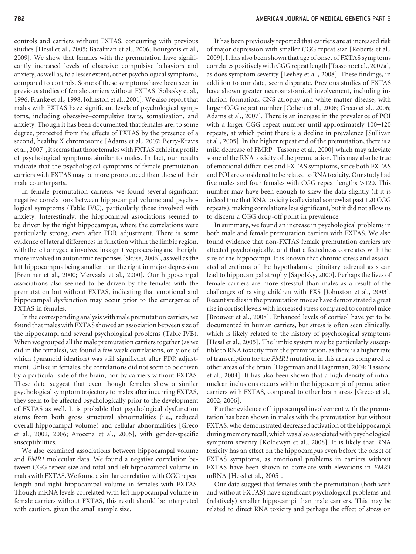controls and carriers without FXTAS, concurring with previous studies [Hessl et al., 2005; Bacalman et al., 2006; Bourgeois et al., 2009]. We show that females with the premutation have significantly increased levels of obsessive–compulsive behaviors and anxiety, as well as, to a lesser extent, other psychological symptoms, compared to controls. Some of these symptoms have been seen in previous studies of female carriers without FXTAS [Sobesky et al., 1996; Franke et al., 1998; Johnston et al., 2001]. We also report that males with FXTAS have significant levels of psychological symptoms, including obsessive–compulsive traits, somatization, and anxiety. Though it has been documented that females are, to some degree, protected from the effects of FXTAS by the presence of a second, healthy X chromosome [Adams et al., 2007; Berry-Kravis et al., 2007], it seems that those females with FXTAS exhibit a profile of psychological symptoms similar to males. In fact, our results indicate that the psychological symptoms of female premutation carriers with FXTAS may be more pronounced than those of their male counterparts.

In female premutation carriers, we found several significant negative correlations between hippocampal volume and psychological symptoms (Table IVC), particularly those involved with anxiety. Interestingly, the hippocampal associations seemed to be driven by the right hippocampus, where the correlations were particularly strong, even after FDR adjustment. There is some evidence of lateral differences in function within the limbic region, with the left amygdala involved in cognitive processing and the right more involved in autonomic responses [Skuse, 2006], as well as the left hippocampus being smaller than the right in major depression [Bremner et al., 2000; Mervaala et al., 2000]. Our hippocampal associations also seemed to be driven by the females with the premutation but without FXTAS, indicating that emotional and hippocampal dysfunction may occur prior to the emergence of FXTAS in females.

In the corresponding analysis with male premutation carriers, we found that males with FXTAS showed an association between size of the hippocampi and several psychological problems (Table IVB). When we grouped all the male premutation carriers together (as we did in the females), we found a few weak correlations, only one of which (paranoid ideation) was still significant after FDR adjustment. Unlike in females, the correlations did not seem to be driven by a particular side of the brain, nor by carriers without FXTAS. These data suggest that even though females show a similar psychological symptom trajectory to males after incurring FXTAS, they seem to be affected psychologically prior to the development of FXTAS as well. It is probable that psychological dysfunction stems from both gross structural abnormalities (i.e., reduced overall hippocampal volume) and cellular abnormalities [Greco et al., 2002, 2006; Arocena et al., 2005], with gender-specific susceptibilities.

We also examined associations between hippocampal volume and FMR1 molecular data. We found a negative correlation between CGG repeat size and total and left hippocampal volume in males with FXTAS.We found a similar correlation with CGG repeat length and right hippocampal volume in females with FXTAS. Though mRNA levels correlated with left hippocampal volume in female carriers without FXTAS, this result should be interpreted with caution, given the small sample size.

It has been previously reported that carriers are at increased risk of major depression with smaller CGG repeat size [Roberts et al., 2009]. It has also been shown that age of onset of FXTAS symptoms correlates positively with CGG repeat length [Tassone et al., 2007a], as does symptom severity [Leehey et al., 2008]. These findings, in addition to our data, seem disparate. Previous studies of FXTAS have shown greater neuroanatomical involvement, including inclusion formation, CNS atrophy and white matter disease, with larger CGG repeat number [Cohen et al., 2006; Greco et al., 2006; Adams et al., 2007]. There is an increase in the prevalence of POI with a larger CGG repeat number until approximately 100–120 repeats, at which point there is a decline in prevalence [Sullivan et al., 2005]. In the higher repeat end of the premutation, there is a mild decrease of FMRP [Tassone et al., 2000] which may alleviate some of the RNA toxicity of the premutation. This may also be true of emotional difficulties and FXTAS symptoms, since both FXTAS and POI are considered to be related to RNA toxicity. Our study had five males and four females with CGG repeat lengths >120. This number may have been enough to skew the data slightly (if it is indeed true that RNA toxicity is alleviated somewhat past 120 CGG repeats), making correlations less significant, but it did not allow us to discern a CGG drop-off point in prevalence.

In summary, we found an increase in psychological problems in both male and female premutation carriers with FXTAS. We also found evidence that non-FXTAS female premutation carriers are affected psychologically, and that affectedness correlates with the size of the hippocampi. It is known that chronic stress and associated alterations of the hypothalamic–pituitary–adrenal axis can lead to hippocampal atrophy [Sapolsky, 2000]. Perhaps the lives of female carriers are more stressful than males as a result of the challenges of raising children with FXS [Johnston et al., 2003]. Recent studies in the premutation mouse have demonstrated a great rise in cortisol levels with increased stress compared to control mice [Brouwer et al., 2008]. Enhanced levels of cortisol have yet to be documented in human carriers, but stress is often seen clinically, which is likely related to the history of psychological symptoms [Hessl et al., 2005]. The limbic system may be particularly susceptible to RNA toxicity from the premutation, as there is a higher rate of transcription for the FMR1 mutation in this area as compared to other areas of the brain [Hagerman and Hagerman, 2004; Tassone et al., 2004]. It has also been shown that a high density of intranuclear inclusions occurs within the hippocampi of premutation carriers with FXTAS, compared to other brain areas [Greco et al., 2002, 2006].

Further evidence of hippocampal involvement with the premutation has been shown in males with the premutation but without FXTAS, who demonstrated decreased activation of the hippocampi during memory recall, which was also associated with psychological symptom severity [Koldewyn et al., 2008]. It is likely that RNA toxicity has an effect on the hippocampus even before the onset of FXTAS symptoms, as emotional problems in carriers without FXTAS have been shown to correlate with elevations in FMR1 mRNA [Hessl et al., 2005].

Our data suggest that females with the premutation (both with and without FXTAS) have significant psychological problems and (relatively) smaller hippocampi than male carriers. This may be related to direct RNA toxicity and perhaps the effect of stress on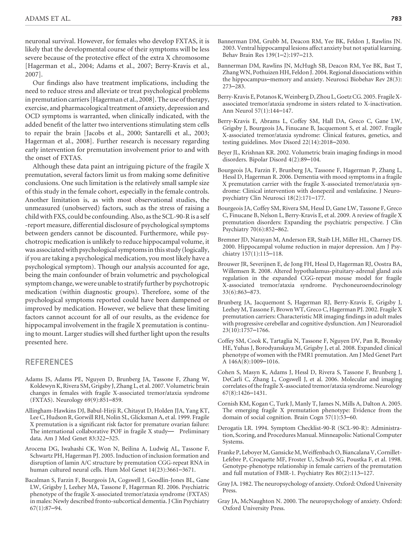neuronal survival. However, for females who develop FXTAS, it is likely that the developmental course of their symptoms will be less severe because of the protective effect of the extra X chromosome [Hagerman et al., 2004; Adams et al., 2007; Berry-Kravis et al., 2007].

Our findings also have treatment implications, including the need to reduce stress and alleviate or treat psychological problems in premutation carriers [Hagerman et al., 2008]. The use of therapy, exercise, and pharmacological treatment of anxiety, depression and OCD symptoms is warranted, when clinically indicated, with the added benefit of the latter two interventions stimulating stem cells to repair the brain [Jacobs et al., 2000; Santarelli et al., 2003; Hagerman et al., 2008]. Further research is necessary regarding early intervention for premutation involvement prior to and with the onset of FXTAS.

Although these data paint an intriguing picture of the fragile X premutation, several factors limit us from making some definitive conclusions. One such limitation is the relatively small sample size of this study in the female cohort, especially in the female controls. Another limitation is, as with most observational studies, the unmeasured (unobserved) factors, such as the stress of raising a child with FXS, could be confounding. Also, as the SCL-90-R is a self -report measure, differential disclosure of psychological symptoms between genders cannot be discounted. Furthermore, while psychotropic medication is unlikely to reduce hippocampal volume, it was associatedwith psychological symptoms in this study (logically, if you are taking a psychological medication, you most likely have a psychological symptom). Though our analysis accounted for age, being the main confounder of brain volumetric and psychological symptom change, we were unable to stratify further by psychotropic medication (within diagnostic groups). Therefore, some of the psychological symptoms reported could have been dampened or improved by medication. However, we believe that these limiting factors cannot account for all of our results, as the evidence for hippocampal involvement in the fragile X premutation is continuing to mount. Larger studies will shed further light upon the results presented here.

## **REFERENCES**

- Adams JS, Adams PE, Nguyen D, Brunberg JA, Tassone F, Zhang W, Koldewyn K, Rivera SM, Grigsby J, Zhang L, et al. 2007. Volumetric brain changes in females with fragile X-associated tremor/ataxia syndrome (FXTAS). Neurology 69(9):851–859.
- Allingham-Hawkins DJ, Babul-Hirji R, Chitayat D, Holden JJA, Yang KT, Lee C, Hudson R, Gorwill RH, Nolin SL, Glicksman A, et al. 1999. Fragile X premutation is a significant risk factor for premature ovarian failure: The international collaborative POF in fragile X study— Preliminary data. Am J Med Genet 83:322–325.
- Arocena DG, Iwahashi CK, Won N, Beilina A, Ludwig AL, Tassone F, Schwartz PH, Hagerman PJ. 2005. Induction of inclusion formation and disruption of lamin A/C structure by premutation CGG-repeat RNA in human cultured neural cells. Hum Mol Genet 14(23):3661–3671.
- Bacalman S, Farzin F, Bourgeois JA, Cogswell J, Goodlin-Jones BL, Gane LW, Grigsby J, Leehey MA, Tassone F, Hagerman RJ. 2006. Psychiatric phenotype of the fragile X-associated tremor/ataxia syndrome (FXTAS) in males: Newly described fronto-subcortical dementia. J Clin Psychiatry 67(1):87–94.
- Bannerman DM, Grubb M, Deacon RM, Yee BK, Feldon J, Rawlins JN. 2003. Ventral hippocampal lesions affect anxiety but not spatial learning. Behav Brain Res 139(1–2):197–213.
- Bannerman DM, Rawlins JN, McHugh SB, Deacon RM, Yee BK, Bast T, ZhangWN, Pothuizen HH, Feldon J. 2004. Regional dissociations within the hippocampus–memory and anxiety. Neurosci Biobehav Rev 28(3): 273–283.
- Berry-Kravis E, Potanos K,Weinberg D, Zhou L, Goetz CG. 2005. Fragile Xassociated tremor/ataxia syndrome in sisters related to X-inactivation. Ann Neurol 57(1):144–147.
- Berry-Kravis E, Abrams L, Coffey SM, Hall DA, Greco C, Gane LW, Grigsby J, Bourgeois JA, Finucane B, Jacquemont S, et al. 2007. Fragile X-associated tremor/ataxia syndrome: Clinical features, genetics, and testing guidelines. Mov Disord 22(14):2018–2030.
- Beyer JL, Krishnan KR. 2002. Volumetric brain imaging findings in mood disorders. Bipolar Disord 4(2):89–104.
- Bourgeois JA, Farzin F, Brunberg JA, Tassone F, Hagerman P, Zhang L, Hessl D, Hagerman R. 2006. Dementia with mood symptoms in a fragile X premutation carrier with the fragile X-associated tremor/ataxia syndrome: Clinical intervention with donepezil and venlafaxine. J Neuropsychiatry Clin Neurosci 18(2):171–177.
- Bourgeois JA, Coffey SM, Rivera SM, Hessl D, Gane LW, Tassone F, Greco C, Finucane B, Nelson L, Berry-Kravis E, et al. 2009. A review of fragile X premutation disorders: Expanding the psychiatric perspective. J Clin Psychiatry 70(6):852–862.
- Bremner JD, Narayan M, Anderson ER, Staib LH, Miller HL, Charney DS. 2000. Hippocampal volume reduction in major depression. Am J Psychiatry 157(1):115–118.
- Brouwer JR, Severijnen E, de Jong FH, Hessl D, Hagerman RJ, Oostra BA, Willemsen R. 2008. Altered hypothalamus-pituitary-adrenal gland axis regulation in the expanded CGG-repeat mouse model for fragile X-associated tremor/ataxia syndrome. Psychoneuroendocrinology 33(6):863–873.
- Brunberg JA, Jacquemont S, Hagerman RJ, Berry-Kravis E, Grigsby J, Leehey M, Tassone F, Brown WT, Greco C, Hagerman PJ. 2002. Fragile X premutation carriers: Characteristic MR imaging findings in adult males with progressive cerebellar and cognitive dysfunction. Am J Neuroradiol 23(10):1757–1766.
- Coffey SM, Cook K, Tartaglia N, Tassone F, Nguyen DV, Pan R, Bronsky HE, Yuhas J, Borodyanskaya M, Grigsby J, et al. 2008. Expanded clinical phenotype of women with the FMR1 premutation. Am J Med Genet Part A 146A(8):1009–1016.
- Cohen S, Masyn K, Adams J, Hessl D, Rivera S, Tassone F, Brunberg J, DeCarli C, Zhang L, Cogswell J, et al. 2006. Molecular and imaging correlates of the fragile X-associated tremor/ataxia syndrome. Neurology 67(8):1426–1431.
- Cornish KM, Kogan C, Turk J, Manly T, James N, Mills A, Dalton A. 2005. The emerging fragile X premutation phenotype: Evidence from the domain of social cognition. Brain Cogn 57(1):53–60.
- Derogatis LR. 1994. Symptom Checklist-90-R (SCL-90-R): Administration, Scoring, and Procedures Manual. Minneapolis: National Computer Systems.
- Franke P, Leboyer M, Gansicke M, Weiffenbach O, Biancalana V, Cornillet-Lefebre P, Croquette MF, Froster U, Schwab SG, Poustka F, et al. 1998. Genotype-phenotype relationship in female carriers of the premutation and full mutation of FMR-1. Psychiatry Res 80(2):113–127.
- Gray JA. 1982. The neuropsychology of anxiety. Oxford: Oxford University Press.
- Gray JA, McNaughton N. 2000. The neuropsychology of anxiety. Oxford: Oxford University Press.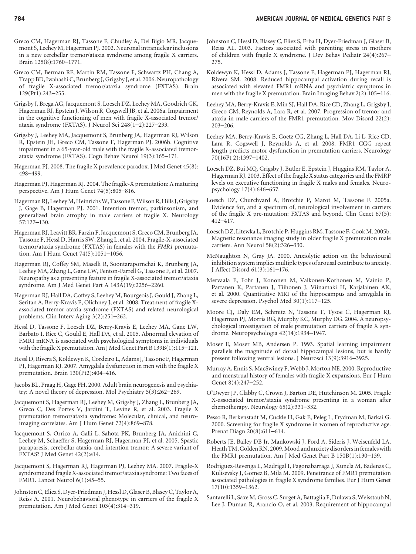- Greco CM, Hagerman RJ, Tassone F, Chudley A, Del Bigio MR, Jacquemont S, Leehey M, Hagerman PJ. 2002. Neuronal intranuclear inclusions in a new cerebellar tremor/ataxia syndrome among fragile X carriers. Brain 125(8):1760–1771.
- Greco CM, Berman RF, Martin RM, Tassone F, Schwartz PH, Chang A, Trapp BD, Iwahashi C, Brunberg J, Grigsby J, et al. 2006. Neuropathology of fragile X-associated tremor/ataxia syndrome (FXTAS). Brain 129(Pt1):243–255.
- Grigsby J, Brega AG, Jacquemont S, Loesch DZ, Leehey MA, Goodrich GK, Hagerman RJ, Epstein J, Wilson R, Cogswell JB, et al. 2006a. Impairment in the cognitive functioning of men with fragile X-associated tremor/ ataxia syndrome (FXTAS). J Neurol Sci 248(1–2):227–233.
- Grigsby J, Leehey MA, Jacquemont S, Brunberg JA, Hagerman RJ, Wilson R, Epstein JH, Greco CM, Tassone F, Hagerman PJ. 2006b. Cognitive impairment in a 65-year-old male with the fragile X-associated tremorataxia syndrome (FXTAS). Cogn Behav Neurol 19(3):165–171.
- Hagerman PJ. 2008. The fragile X prevalence paradox. J Med Genet 45(8): 498–499.
- Hagerman PJ, Hagerman RJ. 2004. The fragile-X premutation: A maturing perspective. Am J Hum Genet 74(5):805–816.
- Hagerman RJ, LeeheyM, HeinrichsW, Tassone F,Wilson R, Hills J,Grigsby J, Gage B, Hagerman PJ. 2001. Intention tremor, parkinsonism, and generalized brain atrophy in male carriers of fragile X. Neurology 57:127–130.
- Hagerman RJ, Leavitt BR, Farzin F, Jacquemont S, Greco CM, Brunberg JA, Tassone F, Hessl D, Harris SW, Zhang L, et al. 2004. Fragile-X-associated tremor/ataxia syndrome (FXTAS) in females with the FMR1 premutation. Am J Hum Genet 74(5):1051–1056.
- Hagerman RJ, Coffey SM, Maselli R, Soontarapornchai K, Brunberg JA, Leehey MA, Zhang L, Gane LW, Fenton-Farrell G, Tassone F, et al. 2007. Neuropathy as a presenting feature in fragile X-associated tremor/ataxia syndrome. Am J Med Genet Part A 143A(19):2256–2260.
- Hagerman RJ, Hall DA, Coffey S, Leehey M, Bourgeois J, Gould J, Zhang L, Seritan A, Berry-Kravis E, Olichney J, et al. 2008. Treatment of fragile Xassociated tremor ataxia syndrome (FXTAS) and related neurological problems. Clin Interv Aging 3(2):251–262.
- Hessl D, Tassone F, Loesch DZ, Berry-Kravis E, Leehey MA, Gane LW, Barbato I, Rice C, Gould E, Hall DA, et al. 2005. Abnormal elevation of FMR1 mRNA is associated with psychological symptoms in individuals with the fragile X premutation. Am JMed Genet Part B 139B(1):115–121.
- Hessl D, Rivera S, Koldewyn K, Cordeiro L, Adams J, Tassone F, Hagerman PJ, Hagerman RJ. 2007. Amygdala dysfunction in men with the fragile X premutation. Brain 130(Pt2):404–416.
- Jacobs BL, Praag H, Gage FH. 2000. Adult brain neurogenesis and psychiatry: A novel theory of depression. Mol Psychiatry 5(3):262–269.
- Jacquemont S, Hagerman RJ, Leehey M, Grigsby J, Zhang L, Brunberg JA, Greco C, Des Portes V, Jardini T, Levine R, et al. 2003. Fragile X premutation tremor/ataxia syndrome: Molecular, clinical, and neuroimaging correlates. Am J Hum Genet 72(4):869–878.
- Jacquemont S, Orrico A, Galli L, Sahota PK, Brunberg JA, Anichini C, Leehey M, Schaeffer S, Hagerman RJ, Hagerman PJ, et al. 2005. Spastic paraparesis, cerebellar ataxia, and intention tremor: A severe variant of FXTAS? J Med Genet 42(2):e14.
- Jacquemont S, Hagerman RJ, Hagerman PJ, Leehey MA. 2007. Fragile-X syndrome and fragile X-associated tremor/ataxia syndrome: Two faces of FMR1. Lancet Neurol 6(1):45–55.
- Johnston C, Eliez S, Dyer-Friedman J, Hessl D, Glaser B, Blasey C, Taylor A, Reiss A. 2001. Neurobehavioral phenotype in carriers of the fragile X premutation. Am J Med Genet 103(4):314–319.
- Johnston C, Hessl D, Blasey C, Eliez S, Erba H, Dyer-Friedman J, Glaser B, Reiss AL. 2003. Factors associated with parenting stress in mothers of children with fragile X syndrome. J Dev Behav Pediatr 24(4):267– 275.
- Koldewyn K, Hessl D, Adams J, Tassone F, Hagerman PJ, Hagerman RJ, Rivera SM. 2008. Reduced hippocampal activation during recall is associated with elevated FMR1 mRNA and psychiatric symptoms in men with the fragile X premutation. Brain Imaging Behav 2(2):105–116.
- Leehey MA, Berry-Kravis E, Min SJ, Hall DA, Rice CD, Zhang L, Grigsby J, Greco CM, Reynolds A, Lara R, et al. 2007. Progression of tremor and ataxia in male carriers of the FMR1 premutation. Mov Disord 22(2): 203–206.
- Leehey MA, Berry-Kravis E, Goetz CG, Zhang L, Hall DA, Li L, Rice CD, Lara R, Cogswell J, Reynolds A, et al. 2008. FMR1 CGG repeat length predicts motor dysfunction in premutation carriers. Neurology 70(16Pt 2):1397–1402.
- Loesch DZ, Bui MQ, Grigsby J, Butler E, Epstein J, Huggins RM, Taylor A, Hagerman RJ. 2003. Effect of the fragile X status categories and the FMRP levels on executive functioning in fragile X males and females. Neuropsychology 17(4):646–657.
- Loesch DZ, Churchyard A, Brotchie P, Marot M, Tassone F. 2005a. Evidence for, and a spectrum of, neurological involvement in carriers of the fragile X pre-mutation: FXTAS and beyond. Clin Genet 67(5): 412–417.
- Loesch DZ, Litewka L, Brotchie P, Huggins RM, Tassone F, Cook M. 2005b. Magnetic resonance imaging study in older fragile X premutation male carriers. Ann Neurol 58(2):326–330.
- McNaughton N, Gray JA. 2000. Anxiolytic action on the behavioural inhibition system implies multiple types of arousal contribute to anxiety. J Affect Disord 61(3):161–176.
- Mervaala E, Fohr J, Kononen M, Valkonen-Korhonen M, Vainio P, Partanen K, Partanen J, Tiihonen J, Viinamaki H, Karjalainen AK, et al. 2000. Quantitative MRI of the hippocampus and amygdala in severe depression. Psychol Med 30(1):117–125.
- Moore CJ, Daly EM, Schmitz N, Tassone F, Tysoe C, Hagerman RJ, Hagerman PJ, Morris RG, Murphy KC, Murphy DG. 2004. A neuropsychological investigation of male premutation carriers of fragile X syndrome. Neuropsychologia 42(14):1934–1947.
- Moser E, Moser MB, Andersen P. 1993. Spatial learning impairment parallels the magnitude of dorsal hippocampal lesions, but is hardly present following ventral lesions. J Neurosci 13(9):3916–3925.
- Murray A, Ennis S, MacSwiney F, Webb J, Morton NE. 2000. Reproductive and menstrual history of females with fragile X expansions. Eur J Hum Genet 8(4):247–252.
- O'Dwyer JP, Clabby C, Crown J, Barton DE, Hutchinson M. 2005. Fragile X-associated tremor/ataxia syndrome presenting in a woman after chemotherapy. Neurology 65(2):331–332.
- Pesso R, Berkenstadt M, Cuckle H, Gak E, Peleg L, Frydman M, Barkai G. 2000. Screening for fragile X syndrome in women of reproductive age. Prenat Diagn 20(8):611–614.
- Roberts JE, Bailey DB Jr, Mankowski J, Ford A, Sideris J, Weisenfeld LA, Heath TM, Golden RN. 2009. Mood and anxiety disorders in females with the FMR1 premutation. Am J Med Genet Part B 150B(1):130–139.
- Rodriguez-Revenga L, Madrigal I, Pagonabarraga J, Xuncla M, Badenas C, Kulisevsky J, Gomez B, Mila M. 2009. Penetrance of FMR1 premutation associated pathologies in fragile X syndrome families. Eur J Hum Genet 17(10):1359–1362.
- Santarelli L, Saxe M, Gross C, Surget A, Battaglia F, Dulawa S, Weisstaub N, Lee J, Duman R, Arancio O, et al. 2003. Requirement of hippocampal